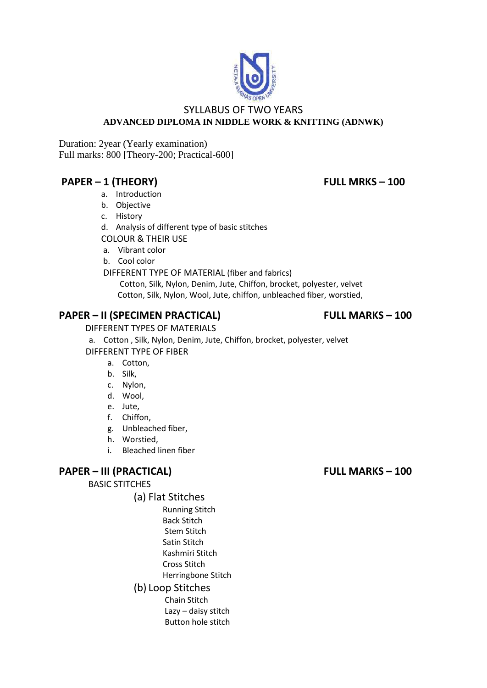

### SYLLABUS OF TWO YEARS **ADVANCED DIPLOMA IN NIDDLE WORK & KNITTING (ADNWK)**

Duration: 2year (Yearly examination) Full marks: 800 [Theory-200; Practical-600]

# **PAPER – 1 (THEORY) FULL MRKS – 100**

- a. Introduction
- b. Objective
- c. History
- d. Analysis of different type of basic stitches
- COLOUR & THEIR USE
- a. Vibrant color
- b. Cool color

### DIFFERENT TYPE OF MATERIAL (fiber and fabrics)

 Cotton, Silk, Nylon, Denim, Jute, Chiffon, brocket, polyester, velvet Cotton, Silk, Nylon, Wool, Jute, chiffon, unbleached fiber, worstied,

# **PAPER – II (SPECIMEN PRACTICAL) FULL MARKS – 100**

DIFFERENT TYPES OF MATERIALS

a. Cotton , Silk, Nylon, Denim, Jute, Chiffon, brocket, polyester, velvet DIFFERENT TYPE OF FIBER

- a. Cotton,
- b. Silk,
- c. Nylon,
- d. Wool,
- e. Jute,
- f. Chiffon,
- g. Unbleached fiber,
- h. Worstied,
- i. Bleached linen fiber

## **PAPER – III (PRACTICAL) FULL MARKS – 100**

BASIC STITCHES

- (a) Flat Stitches
	- Running Stitch Back Stitch Stem Stitch Satin Stitch Kashmiri Stitch Cross Stitch
	- Herringbone Stitch
	- (b) Loop Stitches Chain Stitch Lazy – daisy stitch Button hole stitch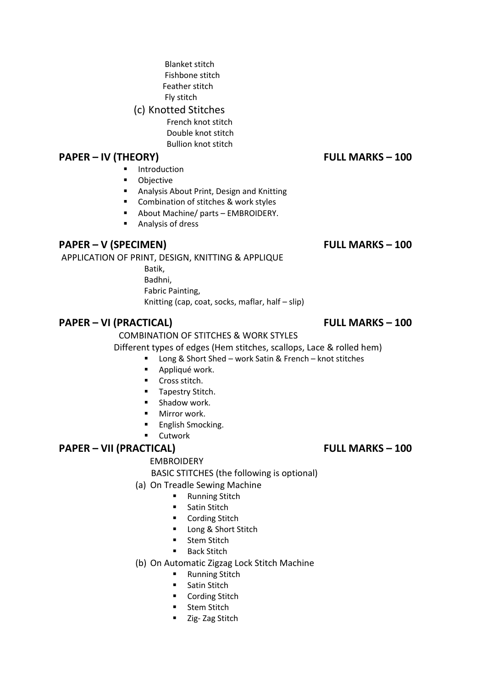- Blanket stitch Fishbone stitch Feather stitch Fly stitch
- (c) Knotted Stitches
	- French knot stitch Double knot stitch
	- Bullion knot stitch

# **PAPER – IV (THEORY) FULL MARKS – 100**

- **Introduction**
- **•** Objective
- Analysis About Print, Design and Knitting
- Combination of stitches & work styles
- About Machine/ parts EMBROIDERY.
- **Analysis of dress**

# **PAPER – V (SPECIMEN) FULL MARKS – 100**

APPLICATION OF PRINT, DESIGN, KNITTING & APPLIQUE

 Batik, Badhni, Fabric Painting, Knitting (cap, coat, socks, maflar, half – slip)

# **PAPER – VI (PRACTICAL) FULL MARKS – 100**

# COMBINATION OF STITCHES & WORK STYLES

Different types of edges (Hem stitches, scallops, Lace & rolled hem)

- Long & Short Shed work Satin & French knot stitches
	- **Appliqué work.**
	- **Cross stitch.**
	- **Tapestry Stitch.**
	- **Shadow work.**
	- **Mirror work.**
	- English Smocking.
	- Cutwork

# **PAPER – VII (PRACTICAL) FULL MARKS – 100**

# EMBROIDERY

- BASIC STITCHES (the following is optional)
- (a) On Treadle Sewing Machine
	- **Running Stitch**
	- **Satin Stitch**
	- Cording Stitch
	- **Long & Short Stitch**
	- **Stem Stitch**
	- Back Stitch
- (b) On Automatic Zigzag Lock Stitch Machine
	- **Running Stitch**
	- **Satin Stitch**
	- **•** Cording Stitch
	- **Stem Stitch**
	- **E** Zig- Zag Stitch